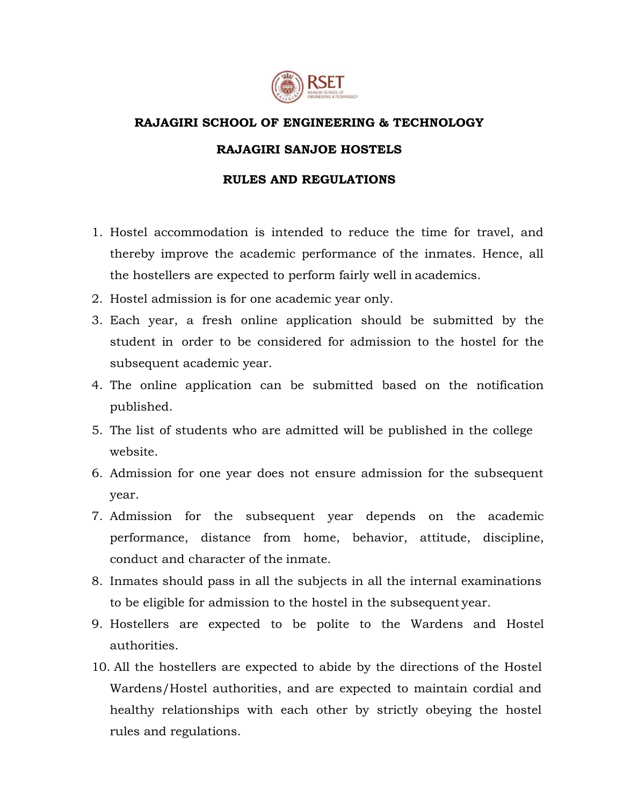

## **RAJAGIRI SCHOOL OF ENGINEERING & TECHNOLOGY RAJAGIRI SANJOE HOSTELS**

## **RULES AND REGULATIONS**

- 1. Hostel accommodation is intended to reduce the time for travel, and thereby improve the academic performance of the inmates. Hence, all the hostellers are expected to perform fairly well in academics.
- 2. Hostel admission is for one academic year only.
- 3. Each year, a fresh online application should be submitted by the student in order to be considered for admission to the hostel for the subsequent academic year.
- 4. The online application can be submitted based on the notification published.
- 5. The list of students who are admitted will be published in the college website.
- 6. Admission for one year does not ensure admission for the subsequent year.
- 7. Admission for the subsequent year depends on the academic performance, distance from home, behavior, attitude, discipline, conduct and character of the inmate.
- 8. Inmates should pass in all the subjects in all the internal examinations to be eligible for admission to the hostel in the subsequent year.
- 9. Hostellers are expected to be polite to the Wardens and Hostel authorities.
- 10. All the hostellers are expected to abide by the directions of the Hostel Wardens/Hostel authorities, and are expected to maintain cordial and healthy relationships with each other by strictly obeying the hostel rules and regulations.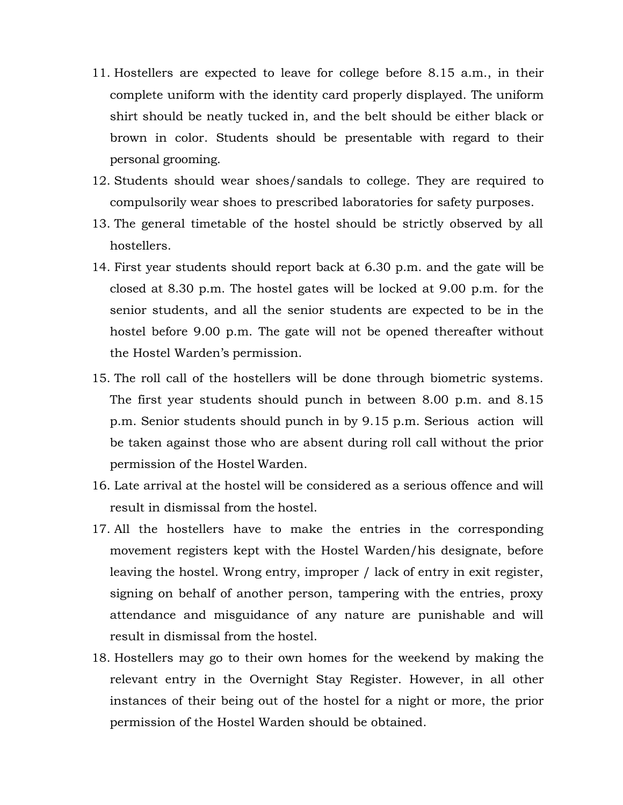- 11. Hostellers are expected to leave for college before 8.15 a.m., in their complete uniform with the identity card properly displayed. The uniform shirt should be neatly tucked in, and the belt should be either black or brown in color. Students should be presentable with regard to their personal grooming.
- 12. Students should wear shoes/sandals to college. They are required to compulsorily wear shoes to prescribed laboratories for safety purposes.
- 13. The general timetable of the hostel should be strictly observed by all hostellers.
- 14. First year students should report back at 6.30 p.m. and the gate will be closed at 8.30 p.m. The hostel gates will be locked at 9.00 p.m. for the senior students, and all the senior students are expected to be in the hostel before 9.00 p.m. The gate will not be opened thereafter without the Hostel Warden's permission.
- 15. The roll call of the hostellers will be done through biometric systems. The first year students should punch in between 8.00 p.m. and 8.15 p.m. Senior students should punch in by 9.15 p.m. Serious action will be taken against those who are absent during roll call without the prior permission of the Hostel Warden.
- 16. Late arrival at the hostel will be considered as a serious offence and will result in dismissal from the hostel.
- 17. All the hostellers have to make the entries in the corresponding movement registers kept with the Hostel Warden/his designate, before leaving the hostel. Wrong entry, improper / lack of entry in exit register, signing on behalf of another person, tampering with the entries, proxy attendance and misguidance of any nature are punishable and will result in dismissal from the hostel.
- 18. Hostellers may go to their own homes for the weekend by making the relevant entry in the Overnight Stay Register. However, in all other instances of their being out of the hostel for a night or more, the prior permission of the Hostel Warden should be obtained.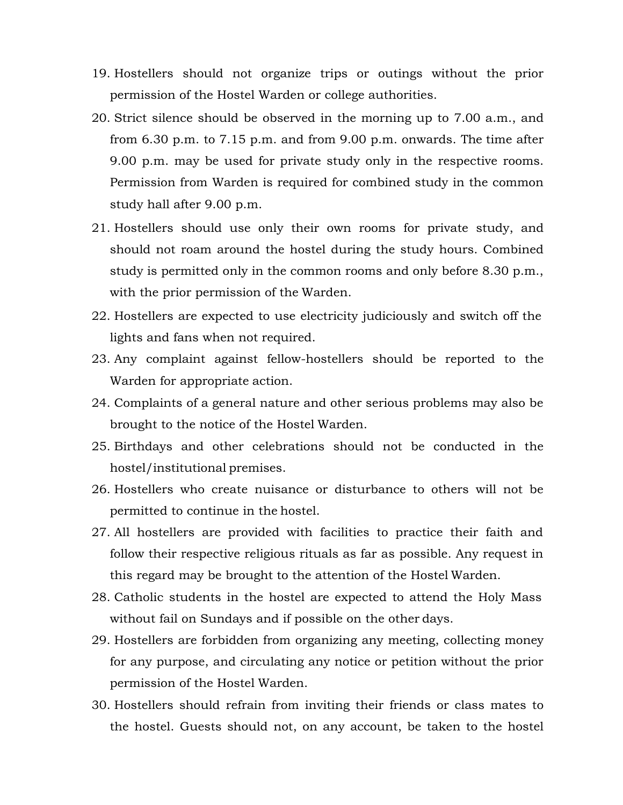- 19. Hostellers should not organize trips or outings without the prior permission of the Hostel Warden or college authorities.
- 20. Strict silence should be observed in the morning up to 7.00 a.m., and from 6.30 p.m. to 7.15 p.m. and from 9.00 p.m. onwards. The time after 9.00 p.m. may be used for private study only in the respective rooms. Permission from Warden is required for combined study in the common study hall after 9.00 p.m.
- 21. Hostellers should use only their own rooms for private study, and should not roam around the hostel during the study hours. Combined study is permitted only in the common rooms and only before 8.30 p.m., with the prior permission of the Warden.
- 22. Hostellers are expected to use electricity judiciously and switch off the lights and fans when not required.
- 23. Any complaint against fellow-hostellers should be reported to the Warden for appropriate action.
- 24. Complaints of a general nature and other serious problems may also be brought to the notice of the Hostel Warden.
- 25. Birthdays and other celebrations should not be conducted in the hostel/institutional premises.
- 26. Hostellers who create nuisance or disturbance to others will not be permitted to continue in the hostel.
- 27. All hostellers are provided with facilities to practice their faith and follow their respective religious rituals as far as possible. Any request in this regard may be brought to the attention of the Hostel Warden.
- 28. Catholic students in the hostel are expected to attend the Holy Mass without fail on Sundays and if possible on the other days.
- 29. Hostellers are forbidden from organizing any meeting, collecting money for any purpose, and circulating any notice or petition without the prior permission of the Hostel Warden.
- 30. Hostellers should refrain from inviting their friends or class mates to the hostel. Guests should not, on any account, be taken to the hostel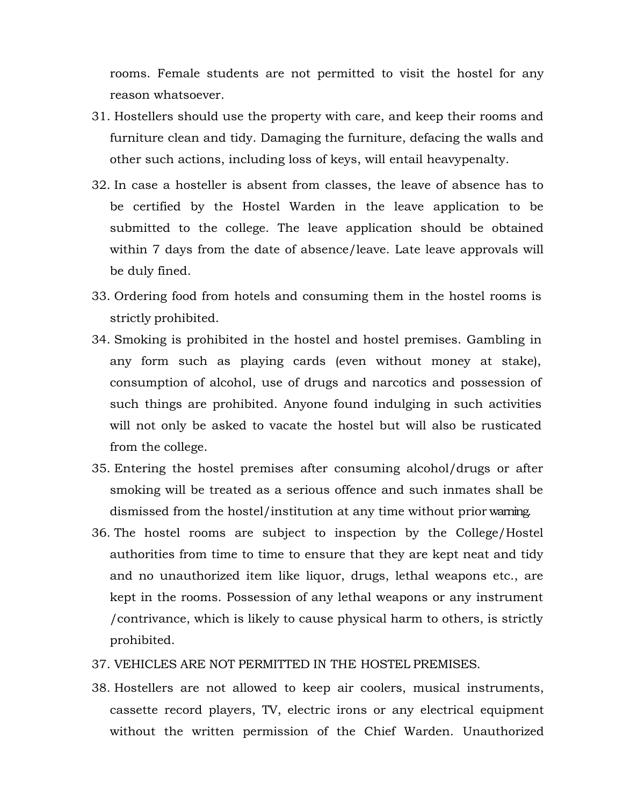rooms. Female students are not permitted to visit the hostel for any reason whatsoever.

- 31. Hostellers should use the property with care, and keep their rooms and furniture clean and tidy. Damaging the furniture, defacing the walls and other such actions, including loss of keys, will entail heavypenalty.
- 32. In case a hosteller is absent from classes, the leave of absence has to be certified by the Hostel Warden in the leave application to be submitted to the college. The leave application should be obtained within 7 days from the date of absence/leave. Late leave approvals will be duly fined.
- 33. Ordering food from hotels and consuming them in the hostel rooms is strictly prohibited.
- 34. Smoking is prohibited in the hostel and hostel premises. Gambling in any form such as playing cards (even without money at stake), consumption of alcohol, use of drugs and narcotics and possession of such things are prohibited. Anyone found indulging in such activities will not only be asked to vacate the hostel but will also be rusticated from the college.
- 35. Entering the hostel premises after consuming alcohol/drugs or after smoking will be treated as a serious offence and such inmates shall be dismissed from the hostel/institution at any time without prior warning.
- 36. The hostel rooms are subject to inspection by the College/Hostel authorities from time to time to ensure that they are kept neat and tidy and no unauthorized item like liquor, drugs, lethal weapons etc., are kept in the rooms. Possession of any lethal weapons or any instrument /contrivance, which is likely to cause physical harm to others, is strictly prohibited.
- 37. VEHICLES ARE NOT PERMITTED IN THE HOSTEL PREMISES.
- 38. Hostellers are not allowed to keep air coolers, musical instruments, cassette record players, TV, electric irons or any electrical equipment without the written permission of the Chief Warden. Unauthorized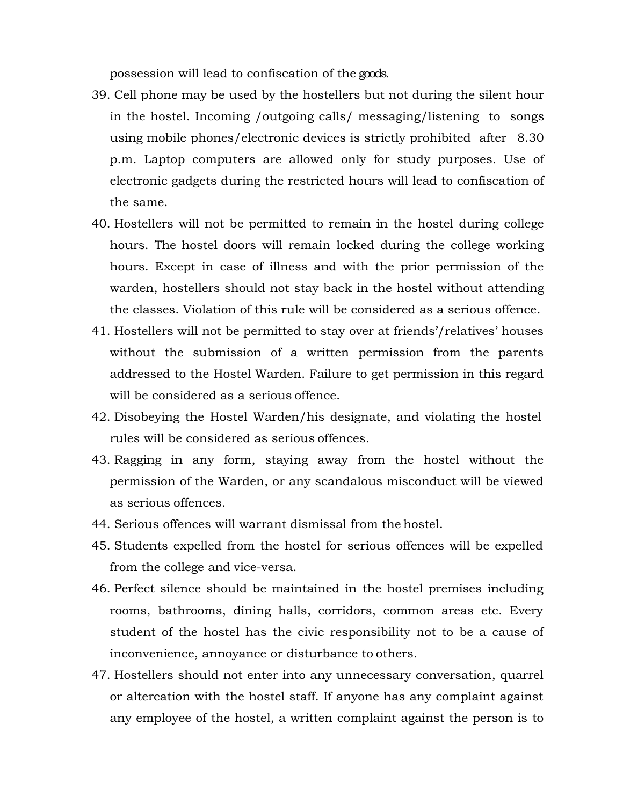possession will lead to confiscation of the goods.

- 39. Cell phone may be used by the hostellers but not during the silent hour in the hostel. Incoming /outgoing calls/ messaging/listening to songs using mobile phones/electronic devices is strictly prohibited after 8.30 p.m. Laptop computers are allowed only for study purposes. Use of electronic gadgets during the restricted hours will lead to confiscation of the same.
- 40. Hostellers will not be permitted to remain in the hostel during college hours. The hostel doors will remain locked during the college working hours. Except in case of illness and with the prior permission of the warden, hostellers should not stay back in the hostel without attending the classes. Violation of this rule will be considered as a serious offence.
- 41. Hostellers will not be permitted to stay over at friends'/relatives' houses without the submission of a written permission from the parents addressed to the Hostel Warden. Failure to get permission in this regard will be considered as a serious offence.
- 42. Disobeying the Hostel Warden/his designate, and violating the hostel rules will be considered as serious offences.
- 43. Ragging in any form, staying away from the hostel without the permission of the Warden, or any scandalous misconduct will be viewed as serious offences.
- 44. Serious offences will warrant dismissal from the hostel.
- 45. Students expelled from the hostel for serious offences will be expelled from the college and vice-versa.
- 46. Perfect silence should be maintained in the hostel premises including rooms, bathrooms, dining halls, corridors, common areas etc. Every student of the hostel has the civic responsibility not to be a cause of inconvenience, annoyance or disturbance to others.
- 47. Hostellers should not enter into any unnecessary conversation, quarrel or altercation with the hostel staff. If anyone has any complaint against any employee of the hostel, a written complaint against the person is to